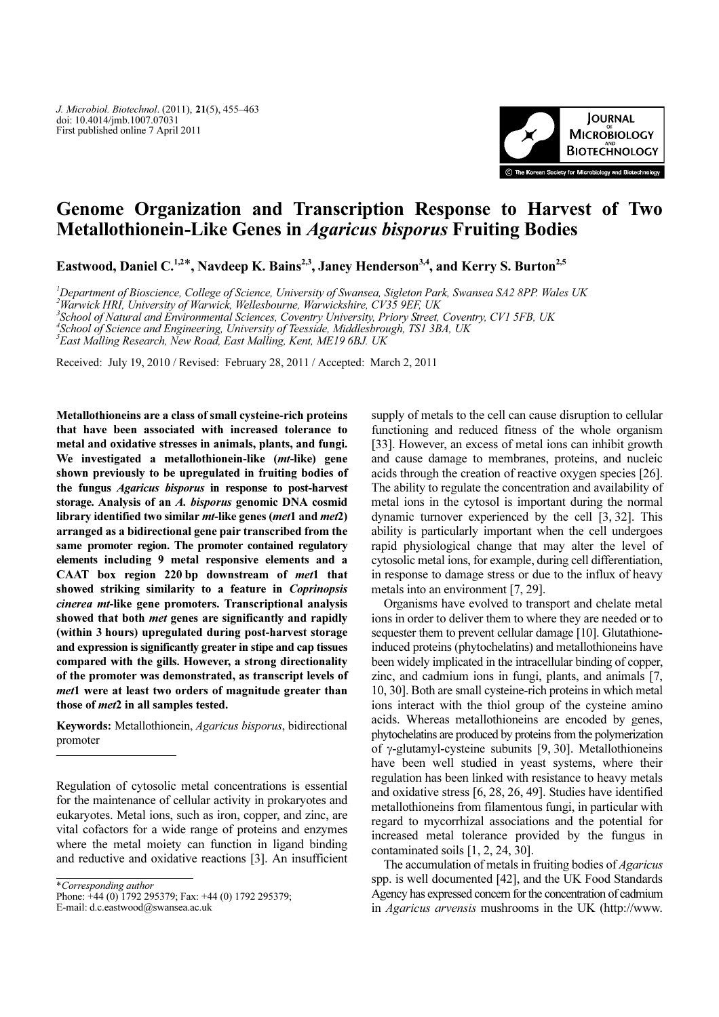

# Genome Organization and Transcription Response to Harvest of Two Metallothionein-Like Genes in Agaricus bisporus Fruiting Bodies

Eastwood, Daniel C.<sup>1,2\*</sup>, Navdeep K. Bains<sup>2,3</sup>, Janey Henderson<sup>3,4</sup>, and Kerry S. Burton<sup>2,5</sup>

1 Department of Bioscience, College of Science, University of Swansea, Sigleton Park, Swansea SA2 8PP. Wales UK

 $^2$ Warwick HRI, University of Warwick, Wellesbourne, Warwickshire, CV35 9EF, UK

3 School of Natural and Environmental Sciences, Coventry University, Priory Street, Coventry, CV1 5FB, UK

4 School of Science and Engineering, University of Teesside, Middlesbrough, TS1 3BA, UK

5 East Malling Research, New Road, East Malling, Kent, ME19 6BJ. UK

Received: July 19, 2010 / Revised: February 28, 2011 / Accepted: March 2, 2011

Metallothioneins are a class of small cysteine-rich proteins that have been associated with increased tolerance to metal and oxidative stresses in animals, plants, and fungi. We investigated a metallothionein-like (mt-like) gene shown previously to be upregulated in fruiting bodies of the fungus Agaricus bisporus in response to post-harvest storage. Analysis of an A. bisporus genomic DNA cosmid library identified two similar *mt*-like genes (*met*1 and *met*2) arranged as a bidirectional gene pair transcribed from the same promoter region. The promoter contained regulatory elements including 9 metal responsive elements and a CAAT box region 220 bp downstream of met1 that showed striking similarity to a feature in Coprinopsis cinerea mt-like gene promoters. Transcriptional analysis showed that both met genes are significantly and rapidly (within 3 hours) upregulated during post-harvest storage and expression is significantly greater in stipe and cap tissues compared with the gills. However, a strong directionality of the promoter was demonstrated, as transcript levels of met1 were at least two orders of magnitude greater than those of met2 in all samples tested.

Keywords: Metallothionein, Agaricus bisporus, bidirectional promoter

Regulation of cytosolic metal concentrations is essential for the maintenance of cellular activity in prokaryotes and eukaryotes. Metal ions, such as iron, copper, and zinc, are vital cofactors for a wide range of proteins and enzymes where the metal moiety can function in ligand binding and reductive and oxidative reactions [3]. An insufficient

\*Corresponding author

E-mail: d.c.eastwood@swansea.ac.uk

supply of metals to the cell can cause disruption to cellular functioning and reduced fitness of the whole organism [33]. However, an excess of metal ions can inhibit growth and cause damage to membranes, proteins, and nucleic acids through the creation of reactive oxygen species [26]. The ability to regulate the concentration and availability of metal ions in the cytosol is important during the normal dynamic turnover experienced by the cell [3, 32]. This ability is particularly important when the cell undergoes rapid physiological change that may alter the level of cytosolic metal ions, for example, during cell differentiation, in response to damage stress or due to the influx of heavy metals into an environment [7, 29].

Organisms have evolved to transport and chelate metal ions in order to deliver them to where they are needed or to sequester them to prevent cellular damage [10]. Glutathioneinduced proteins (phytochelatins) and metallothioneins have been widely implicated in the intracellular binding of copper, zinc, and cadmium ions in fungi, plants, and animals [7, 10, 30]. Both are small cysteine-rich proteins in which metal ions interact with the thiol group of the cysteine amino acids. Whereas metallothioneins are encoded by genes, phytochelatins are produced by proteins from the polymerization of γ-glutamyl-cysteine subunits [9, 30]. Metallothioneins have been well studied in yeast systems, where their regulation has been linked with resistance to heavy metals and oxidative stress [6, 28, 26, 49]. Studies have identified metallothioneins from filamentous fungi, in particular with regard to mycorrhizal associations and the potential for increased metal tolerance provided by the fungus in contaminated soils [1, 2, 24, 30].

The accumulation of metals in fruiting bodies of Agaricus spp. is well documented [42], and the UK Food Standards Agency has expressed concern for the concentration of cadmium in Agaricus arvensis mushrooms in the UK (http://www.

Phone: +44 (0) 1792 295379; Fax: +44 (0) 1792 295379;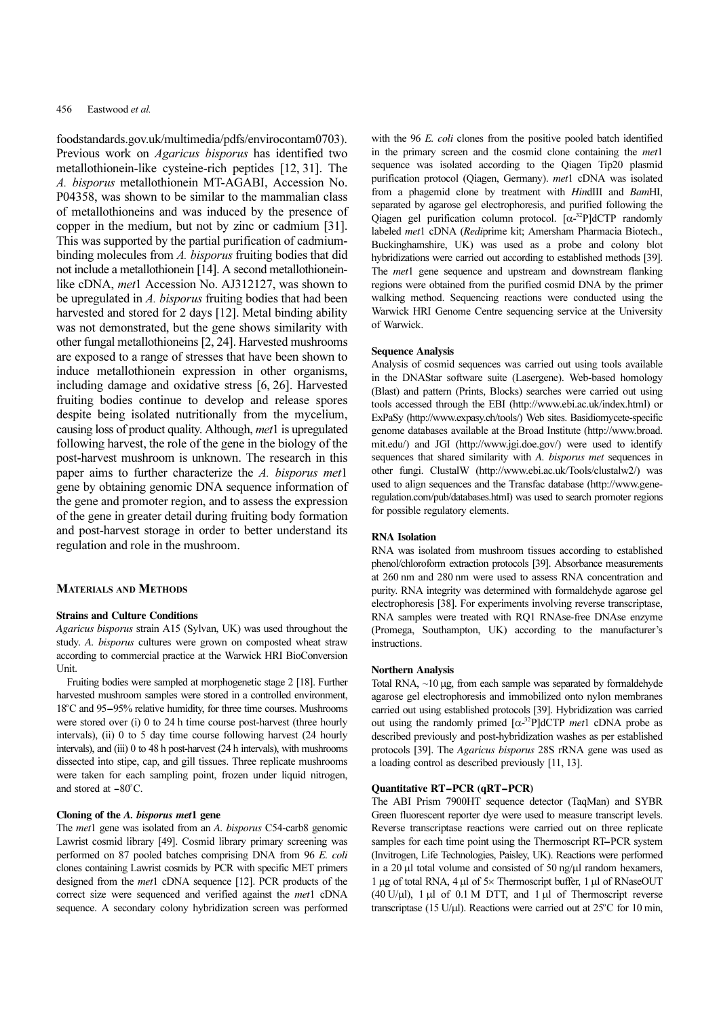## 456 Eastwood et al.

foodstandards.gov.uk/multimedia/pdfs/envirocontam0703). Previous work on Agaricus bisporus has identified two metallothionein-like cysteine-rich peptides [12, 31]. The A. bisporus metallothionein MT-AGABI, Accession No. P04358, was shown to be similar to the mammalian class of metallothioneins and was induced by the presence of copper in the medium, but not by zinc or cadmium [31]. This was supported by the partial purification of cadmiumbinding molecules from A. bisporus fruiting bodies that did not include a metallothionein [14]. A second metallothioneinlike cDNA, met1 Accession No. AJ312127, was shown to be upregulated in A. bisporus fruiting bodies that had been harvested and stored for 2 days [12]. Metal binding ability was not demonstrated, but the gene shows similarity with other fungal metallothioneins [2, 24]. Harvested mushrooms are exposed to a range of stresses that have been shown to induce metallothionein expression in other organisms, including damage and oxidative stress [6, 26]. Harvested fruiting bodies continue to develop and release spores despite being isolated nutritionally from the mycelium, causing loss of product quality. Although, met1 is upregulated following harvest, the role of the gene in the biology of the post-harvest mushroom is unknown. The research in this paper aims to further characterize the A. bisporus met1 gene by obtaining genomic DNA sequence information of the gene and promoter region, and to assess the expression of the gene in greater detail during fruiting body formation and post-harvest storage in order to better understand its regulation and role in the mushroom.

# MATERIALS AND METHODS

## Strains and Culture Conditions

Agaricus bisporus strain A15 (Sylvan, UK) was used throughout the study. A. bisporus cultures were grown on composted wheat straw according to commercial practice at the Warwick HRI BioConversion Unit.

Fruiting bodies were sampled at morphogenetic stage 2 [18]. Further harvested mushroom samples were stored in a controlled environment, 18<sup>o</sup>C and 95–95% relative humidity, for three time courses. Mushrooms dy. A. *bisporus* cultures were grown on composted wheat straw ording to commercial practice at the Warwick HRI BioConversion it.<br>Fruiting bodies were sampled at morphogenetic stage 2 [18]. Further vested mushroom samples were stored over (i) 0 to 24 h time course post-harvest (three hourly intervals), (ii) 0 to 5 day time course following harvest (24 hourly intervals), and (iii) 0 to 48 h post-harvest (24 h intervals), with mushrooms dissected into stipe, cap, and gill tissues. Three replicate mushrooms were taken for each sampling point, frozen under liquid nitrogen, intervals), (ii) 0 to<br>intervals), and (iii) (<br>dissected into stip<br>were taken for ea<br>and stored at  $-80^\circ$ and stored at  $-80^{\circ}$ C.

## Cloning of the A. bisporus met1 gene

The met1 gene was isolated from an A. bisporus C54-carb8 genomic Lawrist cosmid library [49]. Cosmid library primary screening was performed on 87 pooled batches comprising DNA from 96 E. coli clones containing Lawrist cosmids by PCR with specific MET primers designed from the met1 cDNA sequence [12]. PCR products of the correct size were sequenced and verified against the met1 cDNA sequence. A secondary colony hybridization screen was performed with the 96 E. coli clones from the positive pooled batch identified in the primary screen and the cosmid clone containing the met1 sequence was isolated according to the Qiagen Tip20 plasmid purification protocol (Qiagen, Germany). met1 cDNA was isolated from a phagemid clone by treatment with HindIII and BamHI, separated by agarose gel electrophoresis, and purified following the Qiagen gel purification column protocol.  $[\alpha^{-32}P]$ dCTP randomly labeled met1 cDNA (Rediprime kit; Amersham Pharmacia Biotech., Buckinghamshire, UK) was used as a probe and colony blot hybridizations were carried out according to established methods [39]. The *met*1 gene sequence and upstream and downstream flanking regions were obtained from the purified cosmid DNA by the primer walking method. Sequencing reactions were conducted using the Warwick HRI Genome Centre sequencing service at the University of Warwick.

### Sequence Analysis

Analysis of cosmid sequences was carried out using tools available in the DNAStar software suite (Lasergene). Web-based homology (Blast) and pattern (Prints, Blocks) searches were carried out using tools accessed through the EBI (http://www.ebi.ac.uk/index.html) or ExPaSy (http://www.expasy.ch/tools/) Web sites. Basidiomycete-specific genome databases available at the Broad Institute (http://www.broad. mit.edu/) and JGI (http://www.jgi.doe.gov/) were used to identify sequences that shared similarity with A. bisporus met sequences in other fungi. ClustalW (http://www.ebi.ac.uk/Tools/clustalw2/) was used to align sequences and the Transfac database (http://www.generegulation.com/pub/databases.html) was used to search promoter regions for possible regulatory elements.

## RNA Isolation

RNA was isolated from mushroom tissues according to established phenol/chloroform extraction protocols [39]. Absorbance measurements at 260 nm and 280 nm were used to assess RNA concentration and purity. RNA integrity was determined with formaldehyde agarose gel electrophoresis [38]. For experiments involving reverse transcriptase, RNA samples were treated with RQ1 RNAse-free DNAse enzyme (Promega, Southampton, UK) according to the manufacturer's instructions.

## Northern Analysis

Total RNA, ~10 µg, from each sample was separated by formaldehyde agarose gel electrophoresis and immobilized onto nylon membranes carried out using established protocols [39]. Hybridization was carried out using the randomly primed  $[\alpha^{-32}P]$ dCTP *met*1 cDNA probe as described previously and post-hybridization washes as per established protocols [39]. The Agaricus bisporus 28S rRNA gene was used as a loading control as described previously [11, 13].

# Quantitative RT-PCR (qRT-PCR)

The ABI Prism 7900HT sequence detector (TaqMan) and SYBR Green fluorescent reporter dye were used to measure transcript levels. Reverse transcriptase reactions were carried out on three replicate **Quantitative RT–PCR (qRT–PCR)**<br>The ABI Prism 7900HT sequence detector (TaqMan) and SYBR<br>Green fluorescent reporter dye were used to measure transcript levels.<br>Reverse transcriptase reactions were carried out on three repl (Invitrogen, Life Technologies, Paisley, UK). Reactions were performed in a 20  $\mu$ l total volume and consisted of 50 ng/ $\mu$ l random hexamers, 1 µg of total RNA, 4 µl of 5× Thermoscript buffer, 1 µl of RNaseOUT (40 U/ $\mu$ l), 1  $\mu$ l of 0.1 M DTT, and 1  $\mu$ l of Thermoscript reverse transcriptase (15 U/µl). Reactions were carried out at  $25^{\circ}$ C for 10 min,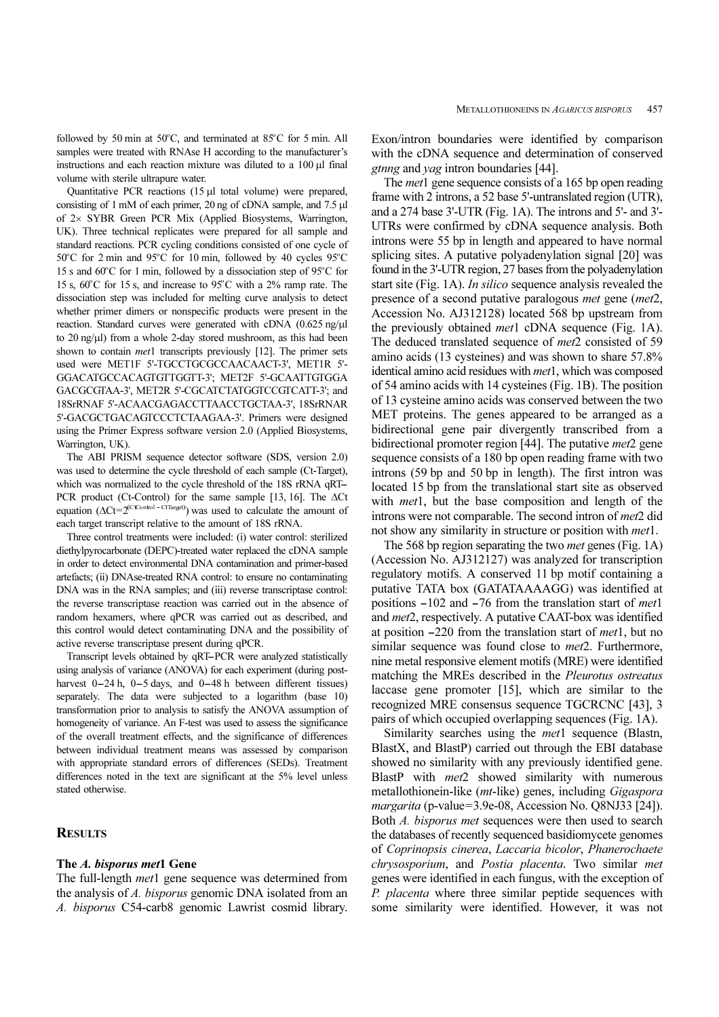followed by 50 min at  $50^{\circ}$ C, and terminated at  $85^{\circ}$ C for 5 min. All samples were treated with RNAse H according to the manufacturer's instructions and each reaction mixture was diluted to a 100 µl final volume with sterile ultrapure water.

Quantitative PCR reactions (15 µl total volume) were prepared, consisting of 1 mM of each primer, 20 ng of cDNA sample, and 7.5 µl of 2× SYBR Green PCR Mix (Applied Biosystems, Warrington, UK). Three technical replicates were prepared for all sample and standard reactions. PCR cycling conditions consisted of one cycle of  $50^{\circ}$ C for 2 min and 95 $^{\circ}$ C for 10 min, followed by 40 cycles 95 $^{\circ}$ C 15 s and  $60^{\circ}$ C for 1 min, followed by a dissociation step of 95 $^{\circ}$ C for 15 s,  $60^{\circ}$ C for 15 s, and increase to 95 $^{\circ}$ C with a 2% ramp rate. The dissociation step was included for melting curve analysis to detect whether primer dimers or nonspecific products were present in the reaction. Standard curves were generated with cDNA (0.625 ng/ $\mu$ l to 20 ng/µl) from a whole 2-day stored mushroom, as this had been shown to contain *met*1 transcripts previously [12]. The primer sets used were MET1F 5'-TGCCTGCGCCAACAACT-3', MET1R 5'- GGACATGCCACAGTGTTGGTT-3'; MET2F 5'-GCAATTGTGGA GACGCGTAA-3', MET2R 5'-CGCATCTATGGTCCGTCATT-3'; and 18SrRNAF 5'-ACAACGAGACCTTAACCTGCTAA-3', 18SrRNAR 5'-GACGCTGACAGTCCCTCTAAGAA-3'. Primers were designed using the Primer Express software version 2.0 (Applied Biosystems, Warrington, UK).

The ABI PRISM sequence detector software (SDS, version 2.0) was used to determine the cycle threshold of each sample (Ct-Target), S-GACGCTGACAGTCCTCTAAGAA-3'. Primers were designed<br>using the Primer Express software version 2.0 (Applied Biosystems,<br>Warrington, UK).<br>The ABI PRISM sequence detector software (SDS, version 2.0)<br>was used to determine the c PCR product (Ct-Control) for the same sample [13, 16]. The ∆Ct equation ( $\Delta Ct = 2^{(CtControl - CtTarget)}$ ) was used to calculate the amount of each target transcript relative to the amount of 18S rRNA.

Three control treatments were included: (i) water control: sterilized diethylpyrocarbonate (DEPC)-treated water replaced the cDNA sample in order to detect environmental DNA contamination and primer-based artefacts; (ii) DNAse-treated RNA control: to ensure no contaminating DNA was in the RNA samples; and (iii) reverse transcriptase control: the reverse transcriptase reaction was carried out in the absence of random hexamers, where qPCR was carried out as described, and this control would detect contaminating DNA and the possibility of active reverse transcriptase present during qPCR. NA was in the KNA samples; and (iii) reverse transcriptase control:<br>
Preverse transcriptase reaction was carried out in the absence of<br>
Indom hexamers, where qPCR was carried out as described, and<br>
s control would detect c

using analysis of variance (ANOVA) for each experiment (during postrandom nexamers, where qPCR was carried out as described, and<br>this control would detect contaminating DNA and the possibility of<br>active reverse transcriptase present during qPCR.<br>Transcript levels obtained by qRT–PCR were separately. The data were subjected to a logarithm (base 10) transformation prior to analysis to satisfy the ANOVA assumption of homogeneity of variance. An F-test was used to assess the significance of the overall treatment effects, and the significance of differences between individual treatment means was assessed by comparison with appropriate standard errors of differences (SEDs). Treatment differences noted in the text are significant at the 5% level unless stated otherwise.

# **RESULTS**

## The A. bisporus met1 Gene

The full-length *met*1 gene sequence was determined from the analysis of A. bisporus genomic DNA isolated from an A. bisporus C54-carb8 genomic Lawrist cosmid library.

Exon/intron boundaries were identified by comparison with the cDNA sequence and determination of conserved gtnng and yag intron boundaries [44].

The *met* 1 gene sequence consists of a 165 bp open reading frame with 2 introns, a 52 base 5'-untranslated region (UTR), and a 274 base 3'-UTR (Fig. 1A). The introns and 5'- and 3'- UTRs were confirmed by cDNA sequence analysis. Both introns were 55 bp in length and appeared to have normal splicing sites. A putative polyadenylation signal [20] was found in the 3'-UTR region, 27 bases from the polyadenylation start site (Fig. 1A). *In silico* sequence analysis revealed the presence of a second putative paralogous met gene (met2, Accession No. AJ312128) located 568 bp upstream from the previously obtained *met*1 cDNA sequence (Fig. 1A). The deduced translated sequence of *met*2 consisted of 59 amino acids (13 cysteines) and was shown to share 57.8% identical amino acid residues with met1, which was composed of 54 amino acids with 14 cysteines (Fig. 1B). The position of 13 cysteine amino acids was conserved between the two MET proteins. The genes appeared to be arranged as a bidirectional gene pair divergently transcribed from a bidirectional promoter region [44]. The putative *met*2 gene sequence consists of a 180 bp open reading frame with two introns (59 bp and 50 bp in length). The first intron was located 15 bp from the translational start site as observed with *met*1, but the base composition and length of the introns were not comparable. The second intron of met2 did not show any similarity in structure or position with *met*1.

The 568 bp region separating the two met genes (Fig. 1A) (Accession No. AJ312127) was analyzed for transcription regulatory motifs. A conserved 11 bp motif containing a putative TATA box (GATATAAAAGG) was identified at The 568 bp region separating the two *met* genes (Fig. 1A) (Accession No. AJ312127) was analyzed for transcription regulatory motifs. A conserved 11 bp motif containing a putative TATA box (GATATAAAAGG) was identified at p and met2, respectively. A putative CAAT-box was identified regulatory motifs. A conserved 11 bp motif containing a<br>putative TATA box (GATATAAAAGG) was identified at<br>positions -102 and -76 from the translation start of *met*1<br>and *met*2, respectively. A putative CAAT-box was identi similar sequence was found close to *met*2. Furthermore, nine metal responsive element motifs (MRE) were identified matching the MREs described in the Pleurotus ostreatus laccase gene promoter [15], which are similar to the recognized MRE consensus sequence TGCRCNC [43], 3 pairs of which occupied overlapping sequences (Fig. 1A).

Similarity searches using the *met*1 sequence (Blastn, BlastX, and BlastP) carried out through the EBI database showed no similarity with any previously identified gene. BlastP with *met*2 showed similarity with numerous metallothionein-like (mt-like) genes, including Gigaspora margarita (p-value=3.9e-08, Accession No. Q8NJ33 [24]). Both A. bisporus met sequences were then used to search the databases of recently sequenced basidiomycete genomes of Coprinopsis cinerea, Laccaria bicolor, Phanerochaete chrysosporium, and Postia placenta. Two similar met genes were identified in each fungus, with the exception of P. placenta where three similar peptide sequences with some similarity were identified. However, it was not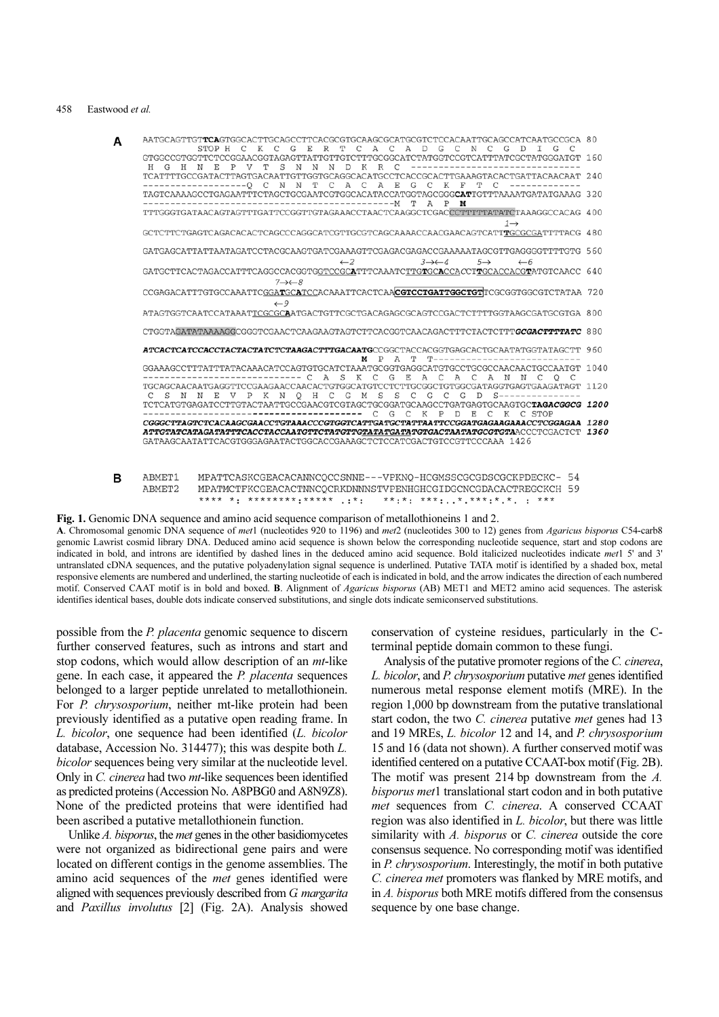#### 458 Eastwood et al.

| AATGCAGTTGT <b>TCA</b> GTGGCACTTGCAGCCTTCACGCGTGCAAGCGCATGCGTCTCCACAATTGCAGCCATCAATGCCGCA 80<br>STOP H                                                           | G<br>E<br>K<br>$\mathcal{C}$                           | R<br>T<br>C               | A D G C<br>A C                         | N<br>$\mathcal{C}$                  |                 |      |
|------------------------------------------------------------------------------------------------------------------------------------------------------------------|--------------------------------------------------------|---------------------------|----------------------------------------|-------------------------------------|-----------------|------|
| GTGGCCGTGGTTCTCCGGAACGGTAGAGTTATTGTTGTCTTTGCGGCATCTATGGTCCGTCATTTATCGCTATGGGATGT 160<br>$\mathbb{P}$<br>H G H N E                                                | S<br>V<br>N<br>N                                       | $_{\rm N}$<br>$\Box$<br>K | R C                                    | -----------                         |                 |      |
| TCATTTTGCCGATACTTAGTGACAATTGTTGGTGCAGGCACATGCCTCACCGCACTTGAAAGTACACTGATTACAACAAT                                                                                 | $\mathbb N$<br>$----Q C$<br>N<br>т                     | C<br>A C                  | $_{\rm E}$<br>$\overline{A}$<br>G<br>C | K F<br>$\mathbb{C}$                 |                 | 240  |
| TAGTCAAAAGCCTGAGAATTTCTAGCTGCGAATCGTGGCACATACCATGGTAGCGG <b>GCAT</b> TGTTTAAAATGATATGAAAG 320                                                                    |                                                        | ----------------M         | T                                      | A P<br>м                            |                 |      |
| TTTGGGTGATAACAGTAGTTTGATTCCGGTTGTAGAAACCTAACTCAAGGCTCGACCCTTTTTATATATCTAAAGGCCACAG 400                                                                           |                                                        |                           |                                        |                                     | $1 \rightarrow$ |      |
| GCTCTTCTGAGTCAGACACACTCAGCCCAGGCATCGTTGCGTCAGCAAAACCAACGAACAGTCATTTGCGCGATTTTACG 480                                                                             |                                                        |                           |                                        |                                     |                 |      |
| GATGAGCATTATTAATAGATCCTACGCAAGTGATCGAAAGTTCGAGACGAGACCGAAAAATAGCGTTGAGGGGTTTTGTG 560                                                                             |                                                        |                           |                                        |                                     |                 |      |
| GATGCTTCACTAGACCATTTCAGGCCACGGTGGTCCGCATTTCAAATCTTGTGCACCACCTTGCACCACGTATGTCAACC 640                                                                             | $7 \rightarrow \leftarrow 8$                           | $\leftarrow$ 2            | $3 \rightarrow 4$                      | $5 \rightarrow$                     | $\leftarrow$ 6  |      |
| CCGAGACATTTGTGCCAAATTCGGATGCATCCACAAATTCACTCAACGTCCTGATTGGCTGTTCGCGGTGGCGTCTATAA 720                                                                             | $\leftarrow$ 9                                         |                           |                                        |                                     |                 |      |
| ATAGTGGTCAATCCATAAATTCGCGCAATGACTGTTCGCTGACAGAGCGCAGTCCGACTCTTTTGGTAAGCGATGCGTGA 800                                                                             |                                                        |                           |                                        |                                     |                 |      |
| CTGGTAGATATAAAAGGCGGGTCGAACTCAAGAAGTAGTCTTCACGGTCAACAGACTTTCTACTCTTTGCGACTTTTATC 880                                                                             |                                                        |                           |                                        |                                     |                 |      |
| ATCACTCATCCACCTACTACTATCTCTAAGACTTTGACAATGCCGGCTACCACGGTGAGCACTGCAATATGGTATAGCTT 960                                                                             |                                                        | м                         | $\mathbf{P}$<br>A<br>т                 | T---------------------              |                 |      |
| GGAAAGCCTTTATTTATACAAACATCCAGTGTGCATCTAAATGCGGTGAGGCATGTGCCTGCGCCAACAACTGCCAATGT                                                                                 |                                                        | A S K C G E               |                                        | ACAC                                | A N N C O C     | 1040 |
|                                                                                                                                                                  | S N N E V P K N O H C G M S S C G C G D S------------- |                           |                                        |                                     |                 | 1120 |
| TCTCATGTGAGATCCTTGTACTAATTGCCGAACGTCGTAGCTGCGGATGCAAGCCTGATGAGTGCAAGTGC <b>TAGACGGCG 1200</b>                                                                    | ----------------------                                 | C                         | $\mathbb{C}$<br>$_{\rm K}$<br>G        | P<br><sup>D</sup><br>E<br>$\subset$ | K C STOP        |      |
| CGGGCTTAGTCTCACAAGCGAACCTGTAAACCCGTGGTCATTGATGCTATTAATTCCGGATGAGAAGAAACCTCGGAGAA 1280<br>GATAAGCAATATTCACGTGGGAGAATACTGGCACCGAAAGCTCTCCATCGACTGTCCGTTCCCAAA 1426 |                                                        |                           |                                        |                                     |                 |      |

ABMET1 MPATTCASKCGEACACANNCQCCSNNE---VPKNQ-HCGMSSCGCGDSCGCKPDECKC- 54 в ABMET<sub>2</sub> MPATMCTFKCGEACACTNNCQCRKDNNNSTVPENHGHCGIDGCNCGDACACTREGCKCH 59 \*\*\*\* \*: \*\*\*\*\*\*\*\*:\*\*\*\*\* .:\*: \*\*:\*: \*\*\*:..\*.\*\*\*:\*.\*. : \*\*\*

Fig. 1. Genomic DNA sequence and amino acid sequence comparison of metallothioneins 1 and 2.

A. Chromosomal genomic DNA sequence of met1 (nucleotides 920 to 1196) and met2 (nucleotides 300 to 12) genes from Agaricus bisporus C54-carb8 genomic Lawrist cosmid library DNA. Deduced amino acid sequence is shown below the corresponding nucleotide sequence, start and stop codons are indicated in bold, and introns are identified by dashed lines in the deduced amino acid sequence. Bold italicized nucleotides indicate met1 5' and 3' untranslated cDNA sequences, and the putative polyadenylation signal sequence is underlined. Putative TATA motif is identified by a shaded box, metal responsive elements are numbered and underlined, the starting nucleotide of each is indicated in bold, and the arrow indicates the direction of each numbered motif. Conserved CAAT motif is in bold and boxed. B. Alignment of Agaricus bisporus (AB) MET1 and MET2 amino acid sequences. The asterisk identifies identical bases, double dots indicate conserved substitutions, and single dots indicate semiconserved substitutions.

possible from the P. placenta genomic sequence to discern further conserved features, such as introns and start and stop codons, which would allow description of an mt-like gene. In each case, it appeared the P. placenta sequences belonged to a larger peptide unrelated to metallothionein. For P. chrysosporium, neither mt-like protein had been previously identified as a putative open reading frame. In L. bicolor, one sequence had been identified (L. bicolor database, Accession No. 314477); this was despite both L. bicolor sequences being very similar at the nucleotide level. Only in C. cinerea had two mt-like sequences been identified as predicted proteins (Accession No. A8PBG0 and A8N9Z8). None of the predicted proteins that were identified had been ascribed a putative metallothionein function.

Unlike A. bisporus, the met genes in the other basidiomycetes were not organized as bidirectional gene pairs and were located on different contigs in the genome assemblies. The amino acid sequences of the met genes identified were aligned with sequences previously described from G. margarita and Paxillus involutus [2] (Fig. 2A). Analysis showed

conservation of cysteine residues, particularly in the Cterminal peptide domain common to these fungi.

Analysis of the putative promoter regions of the C. cinerea, L. bicolor, and P. chrysosporium putative met genes identified numerous metal response element motifs (MRE). In the region 1,000 bp downstream from the putative translational start codon, the two C. cinerea putative met genes had 13 and 19 MREs, L. bicolor 12 and 14, and P. chrysosporium 15 and 16 (data not shown). A further conserved motif was identified centered on a putative CCAAT-box motif (Fig. 2B). The motif was present 214 bp downstream from the A. bisporus met1 translational start codon and in both putative met sequences from C. cinerea. A conserved CCAAT region was also identified in L. bicolor, but there was little similarity with A. bisporus or C. cinerea outside the core consensus sequence. No corresponding motif was identified in P. chrysosporium. Interestingly, the motif in both putative C. cinerea met promoters was flanked by MRE motifs, and in A. bisporus both MRE motifs differed from the consensus sequence by one base change.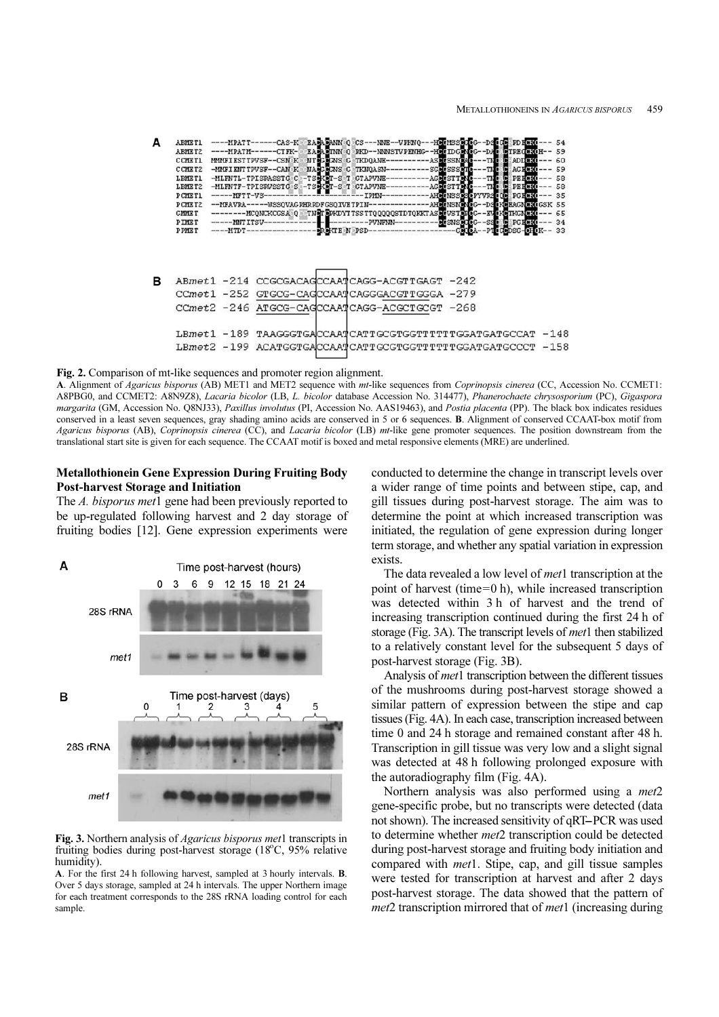Δ **ABMETI** HOL ID ARMET2 59 **Cicroso DR** CCMETI AD) 60 ssi et<br>Etsss CCMRT2 AG) CK<sup>(</sup> 59 LEMET1 PE) **CK** 58 àí.  $\overline{\text{PE}}$ ä LEMET2 tst: 58 AHCONSSE **PCMETI**  $-MFTT-VS-$ -IPMV PG CK<sub>O</sub> 35 PYVR -WSSQVAGPHRPDFGSQIVETPIN PCMET2 -MFAVRA-SK 55 **EAG**  $-D$ CK) -MCQNCKCGSA Q TN**GT S**PKDYTTSSTTQQQQQSTDTQKKTAS **GMMET** tvs: **KG** 65 **PTMRT**  $-MNTTTSU-$ -- PUNEMN-₹M. DG.  $34$ PPME<sub>1</sub>  $-MTDI$ TE N PSD ABmet1 -214 CCGCGACAGCCAATCAGG-ACGTTGAGT -242 в CCmet1 -252 GTGCG-CAGCCAATCAGGGACGTTGGGA -279 CCmet2 -246 ATGCG-CAGCCAATCAGG-ACGCTGCGT -268 LBmet1 -189 TAAGGGTGACCAATCATTGCGTGGTTTTTTGGATGATGCCAT -148 LBmet2 -199 ACATGGTGACCAATCATTGCGTGGTTTTTTGGATGATGCCCT -158

Fig. 2. Comparison of mt-like sequences and promoter region alignment.

A. Alignment of Agaricus bisporus (AB) MET1 and MET2 sequence with mt-like sequences from Coprinopsis cinerea (CC, Accession No. CCMET1: A8PBG0, and CCMET2: A8N9Z8), Lacaria bicolor (LB, L. bicolor database Accession No. 314477), Phanerochaete chrysosporium (PC), Gigaspora margarita (GM, Accession No. Q8NJ33), Paxillus involutus (PI, Accession No. AAS19463), and Postia placenta (PP). The black box indicates residues conserved in a least seven sequences, gray shading amino acids are conserved in 5 or 6 sequences. B. Alignment of conserved CCAAT-box motif from Agaricus bisporus (AB), Coprinopsis cinerea (CC), and Lacaria bicolor (LB) mt-like gene promoter sequences. The position downstream from the translational start site is given for each sequence. The CCAAT motif is boxed and metal responsive elements (MRE) are underlined.

# Metallothionein Gene Expression During Fruiting Body Post-harvest Storage and Initiation

The A. bisporus met1 gene had been previously reported to be up-regulated following harvest and 2 day storage of fruiting bodies [12]. Gene expression experiments were



Fig. 3. Northern analysis of *Agaricus bisporus met*1 transcripts in fruiting bodies during post-harvest storage  $(18^{\circ}C, 95\%$  relative humidity).

A. For the first 24 h following harvest, sampled at 3 hourly intervals. B. Over 5 days storage, sampled at 24 h intervals. The upper Northern image for each treatment corresponds to the 28S rRNA loading control for each sample.

conducted to determine the change in transcript levels over a wider range of time points and between stipe, cap, and gill tissues during post-harvest storage. The aim was to determine the point at which increased transcription was initiated, the regulation of gene expression during longer term storage, and whether any spatial variation in expression exists.

The data revealed a low level of *met*1 transcription at the point of harvest (time=0 h), while increased transcription was detected within 3 h of harvest and the trend of increasing transcription continued during the first 24 h of storage (Fig. 3A). The transcript levels of *met*1 then stabilized to a relatively constant level for the subsequent 5 days of post-harvest storage (Fig. 3B).

Analysis of *met*1 transcription between the different tissues of the mushrooms during post-harvest storage showed a similar pattern of expression between the stipe and cap tissues (Fig. 4A). In each case, transcription increased between time 0 and 24 h storage and remained constant after 48 h. Transcription in gill tissue was very low and a slight signal was detected at 48 h following prolonged exposure with the autoradiography film (Fig. 4A).

Northern analysis was also performed using a *met*2 gene-specific probe, but no transcripts were detected (data not shown). The increased sensitivity of qRT-PCR was used to determine whether met2 transcription could be detected during post-harvest storage and fruiting body initiation and compared with met1. Stipe, cap, and gill tissue samples were tested for transcription at harvest and after 2 days post-harvest storage. The data showed that the pattern of met2 transcription mirrored that of *met*1 (increasing during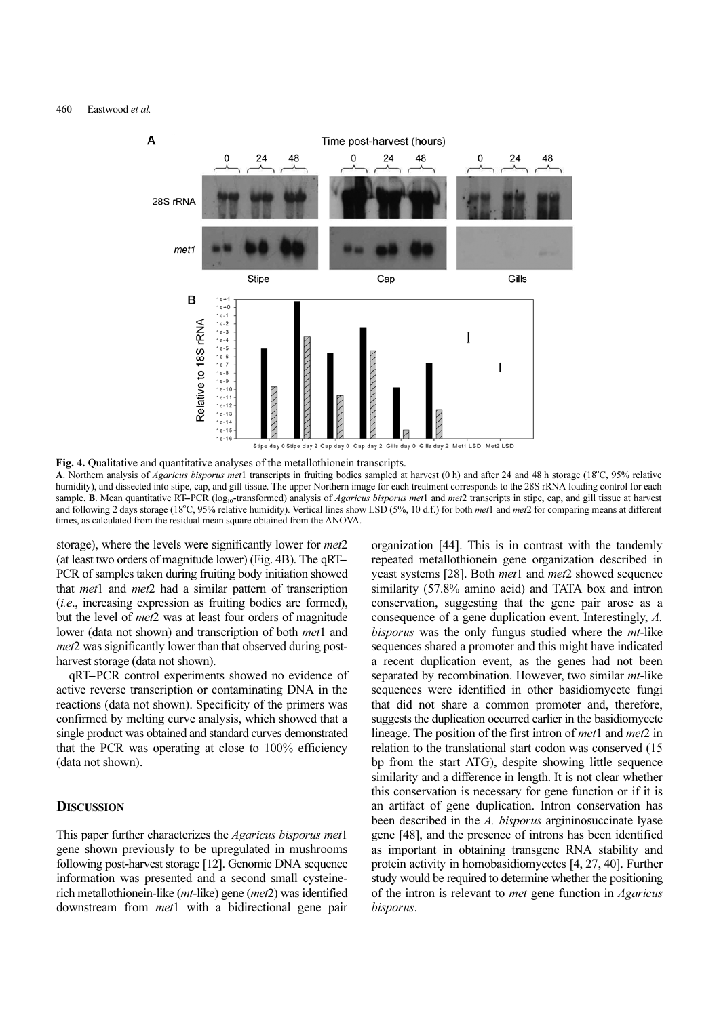

Fig. 4. Qualitative and quantitative analyses of the metallothionein transcripts. **A.** Northern analysis of *Agaricus bisporus met*1 transcripts in fruiting bodies sampled at harvest (0 h) and after 24 and 48 h storage (18°C, 95% relative hypotelective achievative) and dissected into stine, can and gil humidity), and dissected into stipe, cap, and gill tissue. The upper Northern image for each treatment corresponds to the 28S rRNA loading control for each **Fig. 4.** Qualitative and quantitative analyses of the metallothionein transcripts.<br>A. Northern analysis of *Agaricus bisporus met*1 transcripts in fruiting bodies sampled at harvest (0 h) and after 24 and 48 h storage (18 and following 2 days storage (18°C, 95% relative humidity). Vertical lines show LSD (5%, 10 d.f.) for both *met*1 and *met*2 for comparing means at different times as calculated from the residual mean square obtained from times, as calculated from the residual mean square obtained from the ANOVA.

storage), where the levels were significantly lower for *met*2 (at least two orders of magnitude lower) (Fig. 4B). The qRT-PCR of samples taken during fruiting body initiation showed that *met*1 and *met*2 had a similar pattern of transcription (i.e., increasing expression as fruiting bodies are formed), but the level of met2 was at least four orders of magnitude lower (data not shown) and transcription of both *met*1 and met2 was significantly lower than that observed during postharvest storage (data not shown). 2., increasing expression as fruiting bodies are formed), t the level of  $met2$  was at least four orders of magnitude wer (data not shown) and transcription of both  $met1$  and  $rt2$  was significantly lower than that observed d

active reverse transcription or contaminating DNA in the reactions (data not shown). Specificity of the primers was confirmed by melting curve analysis, which showed that a single product was obtained and standard curves demonstrated that the PCR was operating at close to 100% efficiency (data not shown).

# **DISCUSSION**

This paper further characterizes the Agaricus bisporus met1 gene shown previously to be upregulated in mushrooms following post-harvest storage [12]. Genomic DNA sequence information was presented and a second small cysteinerich metallothionein-like (mt-like) gene (met2) was identified downstream from *met*1 with a bidirectional gene pair

organization [44]. This is in contrast with the tandemly repeated metallothionein gene organization described in yeast systems [28]. Both met1 and met2 showed sequence similarity (57.8% amino acid) and TATA box and intron conservation, suggesting that the gene pair arose as a consequence of a gene duplication event. Interestingly, A. bisporus was the only fungus studied where the *mt*-like sequences shared a promoter and this might have indicated a recent duplication event, as the genes had not been separated by recombination. However, two similar *mt*-like sequences were identified in other basidiomycete fungi that did not share a common promoter and, therefore, suggests the duplication occurred earlier in the basidiomycete lineage. The position of the first intron of *met*1 and *met*2 in relation to the translational start codon was conserved (15 bp from the start ATG), despite showing little sequence similarity and a difference in length. It is not clear whether this conservation is necessary for gene function or if it is an artifact of gene duplication. Intron conservation has been described in the A. bisporus argininosuccinate lyase gene [48], and the presence of introns has been identified as important in obtaining transgene RNA stability and protein activity in homobasidiomycetes [4, 27, 40]. Further study would be required to determine whether the positioning of the intron is relevant to met gene function in Agaricus bisporus.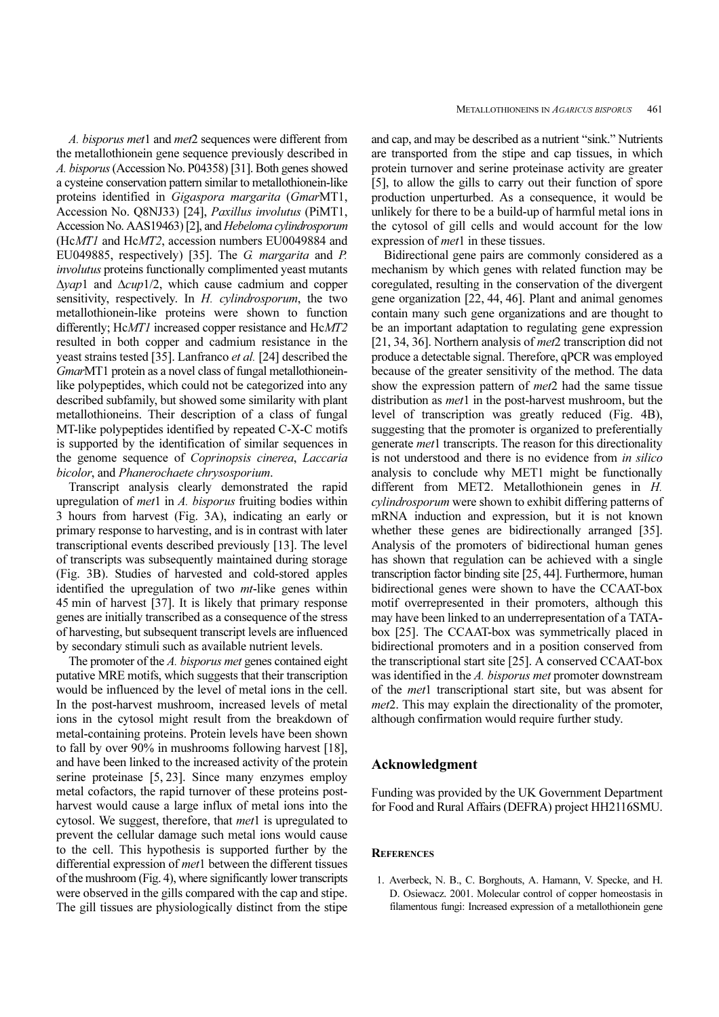A. bisporus met1 and met2 sequences were different from the metallothionein gene sequence previously described in A. bisporus (Accession No. P04358) [31]. Both genes showed a cysteine conservation pattern similar to metallothionein-like proteins identified in Gigaspora margarita (GmarMT1, Accession No. Q8NJ33) [24], Paxillus involutus (PiMT1, Accession No. AAS19463) [2], and Hebeloma cylindrosporum (HcMT1 and HcMT2, accession numbers EU0049884 and EU049885, respectively) [35]. The G. margarita and P. involutus proteins functionally complimented yeast mutants ∆yap1 and ∆cup1/2, which cause cadmium and copper sensitivity, respectively. In H. cylindrosporum, the two metallothionein-like proteins were shown to function differently; HcMT1 increased copper resistance and HcMT2 resulted in both copper and cadmium resistance in the yeast strains tested [35]. Lanfranco et al. [24] described the GmarMT1 protein as a novel class of fungal metallothioneinlike polypeptides, which could not be categorized into any described subfamily, but showed some similarity with plant metallothioneins. Their description of a class of fungal MT-like polypeptides identified by repeated C-X-C motifs is supported by the identification of similar sequences in the genome sequence of Coprinopsis cinerea, Laccaria bicolor, and Phanerochaete chrysosporium.

Transcript analysis clearly demonstrated the rapid upregulation of *met*1 in A. bisporus fruiting bodies within 3 hours from harvest (Fig. 3A), indicating an early or primary response to harvesting, and is in contrast with later transcriptional events described previously [13]. The level of transcripts was subsequently maintained during storage (Fig. 3B). Studies of harvested and cold-stored apples identified the upregulation of two *mt*-like genes within 45 min of harvest [37]. It is likely that primary response genes are initially transcribed as a consequence of the stress of harvesting, but subsequent transcript levels are influenced by secondary stimuli such as available nutrient levels.

The promoter of the A. bisporus met genes contained eight putative MRE motifs, which suggests that their transcription would be influenced by the level of metal ions in the cell. In the post-harvest mushroom, increased levels of metal ions in the cytosol might result from the breakdown of metal-containing proteins. Protein levels have been shown to fall by over 90% in mushrooms following harvest [18], and have been linked to the increased activity of the protein serine proteinase [5, 23]. Since many enzymes employ metal cofactors, the rapid turnover of these proteins postharvest would cause a large influx of metal ions into the cytosol. We suggest, therefore, that *met*1 is upregulated to prevent the cellular damage such metal ions would cause to the cell. This hypothesis is supported further by the differential expression of met1 between the different tissues of the mushroom (Fig. 4), where significantly lower transcripts were observed in the gills compared with the cap and stipe. The gill tissues are physiologically distinct from the stipe

and cap, and may be described as a nutrient "sink." Nutrients are transported from the stipe and cap tissues, in which protein turnover and serine proteinase activity are greater [5], to allow the gills to carry out their function of spore production unperturbed. As a consequence, it would be unlikely for there to be a build-up of harmful metal ions in the cytosol of gill cells and would account for the low expression of *met*1 in these tissues.

Bidirectional gene pairs are commonly considered as a mechanism by which genes with related function may be coregulated, resulting in the conservation of the divergent gene organization [22, 44, 46]. Plant and animal genomes contain many such gene organizations and are thought to be an important adaptation to regulating gene expression [21, 34, 36]. Northern analysis of *met*2 transcription did not produce a detectable signal. Therefore, qPCR was employed because of the greater sensitivity of the method. The data show the expression pattern of *met*2 had the same tissue distribution as *met*1 in the post-harvest mushroom, but the level of transcription was greatly reduced (Fig. 4B), suggesting that the promoter is organized to preferentially generate met1 transcripts. The reason for this directionality is not understood and there is no evidence from in silico analysis to conclude why MET1 might be functionally different from MET2. Metallothionein genes in H. cylindrosporum were shown to exhibit differing patterns of mRNA induction and expression, but it is not known whether these genes are bidirectionally arranged [35]. Analysis of the promoters of bidirectional human genes has shown that regulation can be achieved with a single transcription factor binding site [25, 44]. Furthermore, human bidirectional genes were shown to have the CCAAT-box motif overrepresented in their promoters, although this may have been linked to an underrepresentation of a TATAbox [25]. The CCAAT-box was symmetrically placed in bidirectional promoters and in a position conserved from the transcriptional start site [25]. A conserved CCAAT-box was identified in the A. bisporus met promoter downstream of the met1 transcriptional start site, but was absent for met2. This may explain the directionality of the promoter, although confirmation would require further study.

## Acknowledgment

Funding was provided by the UK Government Department for Food and Rural Affairs (DEFRA) project HH2116SMU.

# **REFERENCES**

1. Averbeck, N. B., C. Borghouts, A. Hamann, V. Specke, and H. D. Osiewacz. 2001. Molecular control of copper homeostasis in filamentous fungi: Increased expression of a metallothionein gene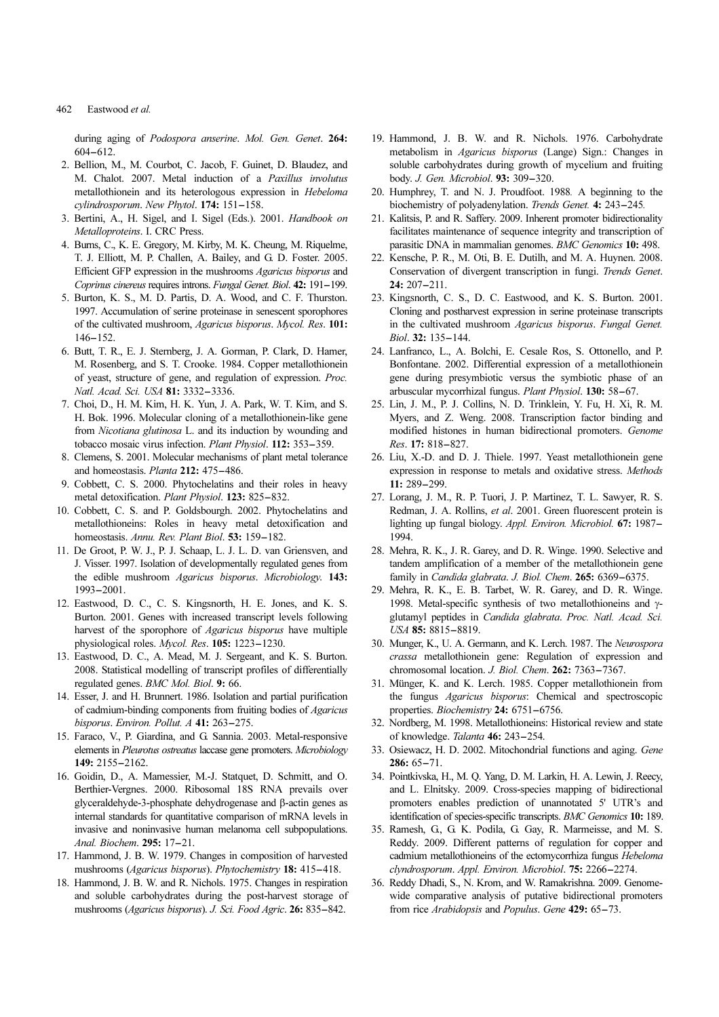## 462 Eastwood et al.

during aging of Podospora anserine. Mol. Gen. Genet. 264: Eastwo<br>during ag<br>604–612.

- 2. Bellion, M., M. Courbot, C. Jacob, F. Guinet, D. Blaudez, and M. Chalot. 2007. Metal induction of a Paxillus involutus metallothionein and its heterologous expression in Hebeloma 604–612.<br>Bellion, M., M. Courbot, C. Jacob, F. Guin<br>M. Chalot. 2007. Metal induction of a<br>metallothionein and its heterologous expres<br>cylindrosporum. New Phytol. 174: 151–158.
- 3. Bertini, A., H. Sigel, and I. Sigel (Eds.). 2001. Handbook on Metalloproteins. I. CRC Press.
- 4. Burns, C., K. E. Gregory, M. Kirby, M. K. Cheung, M. Riquelme, T. J. Elliott, M. P. Challen, A. Bailey, and G. D. Foster. 2005. Efficient GFP expression in the mushrooms Agaricus bisporus and Bertini, A., H. Sigel, and I. Sigel (Eds.). 2001. *Handbook on*<br>*Metalloproteins*. I. CRC Press.<br>Burns, C., K. E. Gregory, M. Kirby, M. K. Cheung, M. Riquelme,<br>T. J. Elliott, M. P. Challen, A. Bailey, and G. D. Foster. 200
- 5. Burton, K. S., M. D. Partis, D. A. Wood, and C. F. Thurston. 1997. Accumulation of serine proteinase in senescent sporophores of the cultivated mushroom, Agaricus bisporus. Mycol. Res. 101: Efficient Coprinus<br>1997. Accord file<br>1997. Accord file cult<br>146-152.
- 6. Butt, T. R., E. J. Sternberg, J. A. Gorman, P. Clark, D. Hamer, M. Rosenberg, and S. T. Crooke. 1984. Copper metallothionein of yeast, structure of gene, and regulation of expression. Proc. or the cultivated mushroom, Agaricus<br>146–152.<br>Butt, T. R., E. J. Sternberg, J. A. Go.<br>M. Rosenberg, and S. T. Crooke. 198<br>of yeast, structure of gene, and regul<br>Natl. Acad. Sci. USA **81:** 3332–3336.
- 7. Choi, D., H. M. Kim, H. K. Yun, J. A. Park, W. T. Kim, and S. H. Bok. 1996. Molecular cloning of a metallothionein-like gene from Nicotiana glutinosa L. and its induction by wounding and or yeast, structure of gene, and regulation of expression. *Pr*<br>*Natl. Acad. Sci. USA* **81:** 3332–3336.<br>Choi, D., H. M. Kim, H. K. Yun, J. A. Park, W. T. Kim, and<br>H. Bok. 1996. Molecular cloning of a metallothionein-like g Chol, D., H. M. Kim, H. K. Yun, J. A.<br>H. Bok. 1996. Molecular cloning of a r<br>from *Nicotiana glutinosa* L. and its ind<br>tobacco mosaic virus infection. *Plant Pi*<br>Clemens, S. 2001. Molecular mechanism<br>and homeostasis. *Plan*
- 8. Clemens, S. 2001. Molecular mechanisms of plant metal tolerance tobacco mosaic virus infection. *Plant Physiol*. **112:** 353–359. Clemens, S. 2001. Molecular mechanisms of plant metal tolerar and homeostasis. *Planta* **212:** 475–486. Cobbett, C. S. 2000. Phytochelatins and their roles i
- 9. Cobbett, C. S. 2000. Phytochelatins and their roles in heavy
- 10. Cobbett, C. S. and P. Goldsbourgh. 2002. Phytochelatins and metallothioneins: Roles in heavy metal detoxification and and homeostasis. *Planta* **212:** 4/5–486.<br>Cobbett, C. S. 2000. Phytochelatins and their intetal detoxification. *Plant Physiol*. **123:** 825–832<br>Cobbett, C. S. and P. Goldsbourgh. 2002. Phyt<br>metallothioneins: Roles in heavy
- 11. De Groot, P. W. J., P. J. Schaap, L. J. L. D. van Griensven, and J. Visser. 1997. Isolation of developmentally regulated genes from the edible mushroom Agaricus bisporus. Microbiology. 143: metallothion<br>homeostasis<br>De Groot, P<br>J. Visser. 19<br>the edible<br>1993–2001.
- 12. Eastwood, D. C., C. S. Kingsnorth, H. E. Jones, and K. S. Burton. 2001. Genes with increased transcript levels following harvest of the sporophore of Agaricus bisporus have multiple the edible mushroom *Agaricus bisporus. Microsom*-1993-2001.<br>
Eastwood, D. C., C. S. Kingsnorth, H. E. Jon<br>
Burton. 2001. Genes with increased transcript le<br>
harvest of the sporophore of *Agaricus bisporus*<br>
physiological
- 13. Eastwood, D. C., A. Mead, M. J. Sergeant, and K. S. Burton. 2008. Statistical modelling of transcript profiles of differentially regulated genes. BMC Mol. Biol. 9: 66.
- 14. Esser, J. and H. Brunnert. 1986. Isolation and partial purification of cadmium-binding components from fruiting bodies of Agaricus Eastwood, D. C., A. Mead, M. J. Sergea<br>2008. Statistical modelling of transcript pregulated genes. *BMC Mol. Biol.* 9: 66.<br>Esser, J. and H. Brunnert. 1986. Isolation of cadmium-binding components from fruit<br>bisporus. Envir
- 15. Faraco, V., P. Giardina, and G. Sannia. 2003. Metal-responsive elements in Pleurotus ostreatus laccase gene promoters. Microbiology Esser, J. and H. F.<br>of cadmium-bindi<br>bisporus. *Environ*<br>Faraco, V., P. Gia<br>elements in *Pleuro*<br>**149:** 2155–2162.
- 16. Goidin, D., A. Mamessier, M.-J. Statquet, D. Schmitt, and O. Berthier-Vergnes. 2000. Ribosomal 18S RNA prevails over glyceraldehyde-3-phosphate dehydrogenase and β-actin genes as internal standards for quantitative comparison of mRNA levels in invasive and noninvasive human melanoma cell subpopulations. Goldin, D., A. Mamessier,<br>Berthier-Vergnes. 2000. Riglyceraldehyde-3-phosphate<br>internal standards for quantita<br>invasive and noninvasive hu<br>*Anal. Biochem*. 295: 17–21. glyceraldehyde-3-phosphate dehydrogenase and B-actin genes a<br>internal standards for quantitative comparison of mRNA levels is<br>invasive and noninvasive human melanoma cell subpopulation<br>*Anal. Biochem.* **295:** 17–21.<br>Hammon
- 17. Hammond, J. B. W. 1979. Changes in composition of harvested
- 18. Hammond, J. B. W. and R. Nichols. 1975. Changes in respiration and soluble carbohydrates during the post-harvest storage of Anal. Biochem. 295: 17–21.<br>Hammond, J. B. W. 1979. Changes in composition of harvested<br>mushrooms (Agaricus bisporus). Phytochemistry 18: 415–418.<br>Hammond, J. B. W. and R. Nichols. 1975. Changes in respiration<br>and soluble c
- 19. Hammond, J. B. W. and R. Nichols. 1976. Carbohydrate metabolism in Agaricus bisporus (Lange) Sign.: Changes in soluble carbohydrates during growth of mycelium and fruiting Hammond, J. B. W. and R. Nich<br>metabolism in *Agaricus bisporus* (L<br>soluble carbohydrates during growth body. *J. Gen. Microbiol.* **93:** 309–320. Hammond, J. B. W. and R. Nichols. 1976. Carbohyd<br>metabolism in *Agaricus bisporus* (Lange) Sign.: Change:<br>soluble carbohydrates during growth of mycelium and frui<br>body. *J. Gen. Microbiol.* **93:** 309–320.<br>Humphrey, T. and
- 20. Humphrey, T. and N. J. Proudfoot. 1988. A beginning to the
- 21. Kalitsis, P. and R. Saffery. 2009. Inherent promoter bidirectionality facilitates maintenance of sequence integrity and transcription of parasitic DNA in mammalian genomes. BMC Genomics 10: 498.
- 22. Kensche, P. R., M. Oti, B. E. Dutilh, and M. A. Huynen. 2008. Conservation of divergent transcription in fungi. Trends Genet. Kalitsis, P. and<br>facilitates main<br>parasitic DNA<br>Kensche, P. R<br>Conservation<br>**24:** 207–211.
- 23. Kingsnorth, C. S., D. C. Eastwood, and K. S. Burton. 2001. Cloning and postharvest expression in serine proteinase transcripts in the cultivated mushroom Agaricus bisporus. Fungal Genet. Conservation or di<br>24: 207–211.<br>Kingsnorth, C. S.,<br>Cloning and posthain the cultivated n<br>*Biol*. 32: 135–144.
- 24. Lanfranco, L., A. Bolchi, E. Cesale Ros, S. Ottonello, and P. Bonfontane. 2002. Differential expression of a metallothionein gene during presymbiotic versus the symbiotic phase of an in the cultivated mushroom *Agaricus bisporus. Fungal Giol.* **32:** 135–144.<br>Lanfranco, L., A. Bolchi, E. Cesale Ros, S. Ottonello, a<br>Bonfontane. 2002. Differential expression of a metallothi<br>gene during presymbiotic versus
- 25. Lin, J. M., P. J. Collins, N. D. Trinklein, Y. Fu, H. Xi, R. M. Myers, and Z. Weng. 2008. Transcription factor binding and modified histones in human bidirectional promoters. Genome gene during presy<br>arbuscular mycorrl<br>Lin, J. M., P. J. C<br>Myers, and Z. W<br>modified histones<br>*Res*. **17:** 818–827.
- 26. Liu, X.-D. and D. J. Thiele. 1997. Yeast metallothionein gene expression in response to metals and oxidative stress. Methods Myers, and  $\lambda$ <br>modified hist<br>*Res*. **17:** 818-<br>Liu, X.-D. ar<br>expression in<br>**11:** 289-299.
- 27. Lorang, J. M., R. P. Tuori, J. P. Martinez, T. L. Sawyer, R. S. Redman, J. A. Rollins, et al. 2001. Green fluorescent protein is Liu, X.-D. and D. J. Thiele. 1997. Yeast metallothionein gene<br>expression in response to metals and oxidative stress. *Methods*<br>11: 289–299.<br>Lorang, J. M., R. P. Tuori, J. P. Martinez, T. L. Sawyer, R. S.<br>Redman, J. A. Roll 1994.
- 28. Mehra, R. K., J. R. Garey, and D. R. Winge. 1990. Selective and tandem amplification of a member of the metallothionein gene Redman, J. A. Rollins, *et al. 2001*. Green fluorescent protein<br>lighting up fungal biology. *Appl. Environ. Microbiol.* **67:** 198<br>1994.<br>Mehra, R. K., J. R. Garey, and D. R. Winge. 1990. Selective at<br>tandem amplification of
- 29. Mehra, R. K., E. B. Tarbet, W. R. Garey, and D. R. Winge. 1998. Metal-specific synthesis of two metallothioneins and γglutamyl peptides in Candida glabrata. Proc. Natl. Acad. Sci. family in *Candida glabrata. J. Biol. Chem.* **265:** 6369–6375. Mehra, R. K., E. B. Tarbet, W. R. Garey, and D. R. Win 1998. Metal-specific synthesis of two metallothioneins and glutamyl peptides in *Candida glabrata. Proc.*
- 30. Munger, K., U. A. Germann, and K. Lerch. 1987. The Neurospora crassa metallothionein gene: Regulation of expression and 1998. Metal-specific synthesis of two metallothionein<br>glutamyl peptides in *Candida glabrata. Proc. Natl. A*<br>USA **85:** 8815–8819.<br>Munger, K., U. A. Germann, and K. Lerch. 1987. The *Ne*<br>*crassa* metallothionein gene: Regul
- 31. Münger, K. and K. Lerch. 1985. Copper metallothionein from the fungus Agaricus bisporus: Chemical and spectroscopic Munger, K., U. A. Germann, and K. Lerch<br>*crassa* metallothionein gene: Regulatic<br>chromosomal location. *J. Biol. Chem.* **26**<br>Münger, K. and K. Lerch. 1985. Coppe<br>the fungus *Agaricus bisporus*: Chemi<br>properties. *Biochemis* chromosomal location. *J. Biol. Chem*<br>Münger, K. and K. Lerch. 1985. C<br>the fungus *Agaricus bisporus*: Cl<br>properties. *Biochemistry* **24:** 6751–6<br>Nordberg, M. 1998. Metallothioneins<br>of knowledge. *Talanta* **46:** 243–254.
- 32. Nordberg, M. 1998. Metallothioneins: Historical review and state
- 33. Osiewacz, H. D. 2002. Mitochondrial functions and aging. Gene the rungus<br>properties. *B*<br>Nordberg, M<br>of knowledg<br>Osiewacz, H<br>**286:** 65–71.
- 34. Pointkivska, H., M. Q. Yang, D. M. Larkin, H. A. Lewin, J. Reecy, and L. Elnitsky. 2009. Cross-species mapping of bidirectional promoters enables prediction of unannotated 5' UTR's and
- promoters enables prediction of unannotated 5' UTR's and<br>identification of species-specific transcripts. *BMC Genomics* 10: 189.<br>Ramesh, G, G. K. Podila, G. Gay, R. Marmeisse, and M. S.<br>Reddy. 2009. Different patterns of r 35. Ramesh, G., G. K. Podila, G. Gay, R. Marmeisse, and M. S. Reddy. 2009. Different patterns of regulation for copper and cadmium metallothioneins of the ectomycorrhiza fungus Hebeloma
- 36. Reddy Dhadi, S., N. Krom, and W. Ramakrishna. 2009. Genomewide comparative analysis of putative bidirectional promoters Reddy. 2009. Different patterns of regulation for conseled<br>mium metallothioneins of the ectomycorrhiza fungus<br>clyndrosporum. Appl. Environ. Microbiol. **75:** 2266–22.<br>Reddy Dhadi, S., N. Krom, and W. Ramakrishna. 2009.<br>wide